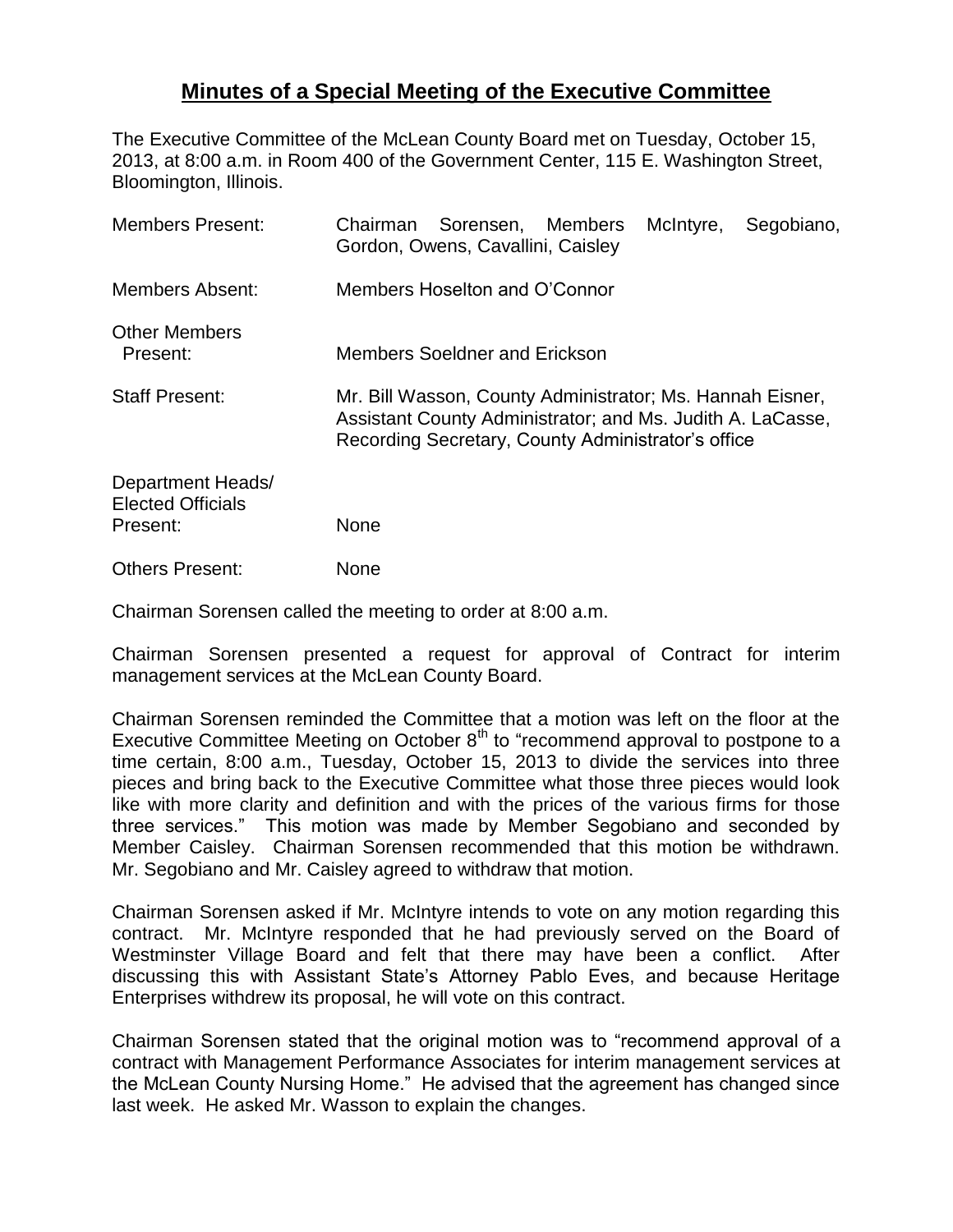## **Minutes of a Special Meeting of the Executive Committee**

The Executive Committee of the McLean County Board met on Tuesday, October 15, 2013, at 8:00 a.m. in Room 400 of the Government Center, 115 E. Washington Street, Bloomington, Illinois.

| <b>Members Present:</b>                                   | McIntyre,<br>Chairman Sorensen, Members<br>Segobiano,<br>Gordon, Owens, Cavallini, Caisley                                                                                    |
|-----------------------------------------------------------|-------------------------------------------------------------------------------------------------------------------------------------------------------------------------------|
| <b>Members Absent:</b>                                    | Members Hoselton and O'Connor                                                                                                                                                 |
| <b>Other Members</b><br>Present:                          | <b>Members Soeldner and Erickson</b>                                                                                                                                          |
| <b>Staff Present:</b>                                     | Mr. Bill Wasson, County Administrator; Ms. Hannah Eisner,<br>Assistant County Administrator; and Ms. Judith A. LaCasse,<br>Recording Secretary, County Administrator's office |
| Department Heads/<br><b>Elected Officials</b><br>Present: | None                                                                                                                                                                          |
| <b>Others Present:</b>                                    | <b>None</b>                                                                                                                                                                   |

Chairman Sorensen called the meeting to order at 8:00 a.m.

Chairman Sorensen presented a request for approval of Contract for interim management services at the McLean County Board.

Chairman Sorensen reminded the Committee that a motion was left on the floor at the Executive Committee Meeting on October  $8<sup>th</sup>$  to "recommend approval to postpone to a time certain, 8:00 a.m., Tuesday, October 15, 2013 to divide the services into three pieces and bring back to the Executive Committee what those three pieces would look like with more clarity and definition and with the prices of the various firms for those three services." This motion was made by Member Segobiano and seconded by Member Caisley. Chairman Sorensen recommended that this motion be withdrawn. Mr. Segobiano and Mr. Caisley agreed to withdraw that motion.

Chairman Sorensen asked if Mr. McIntyre intends to vote on any motion regarding this contract. Mr. McIntyre responded that he had previously served on the Board of Westminster Village Board and felt that there may have been a conflict. After discussing this with Assistant State's Attorney Pablo Eves, and because Heritage Enterprises withdrew its proposal, he will vote on this contract.

Chairman Sorensen stated that the original motion was to "recommend approval of a contract with Management Performance Associates for interim management services at the McLean County Nursing Home." He advised that the agreement has changed since last week. He asked Mr. Wasson to explain the changes.